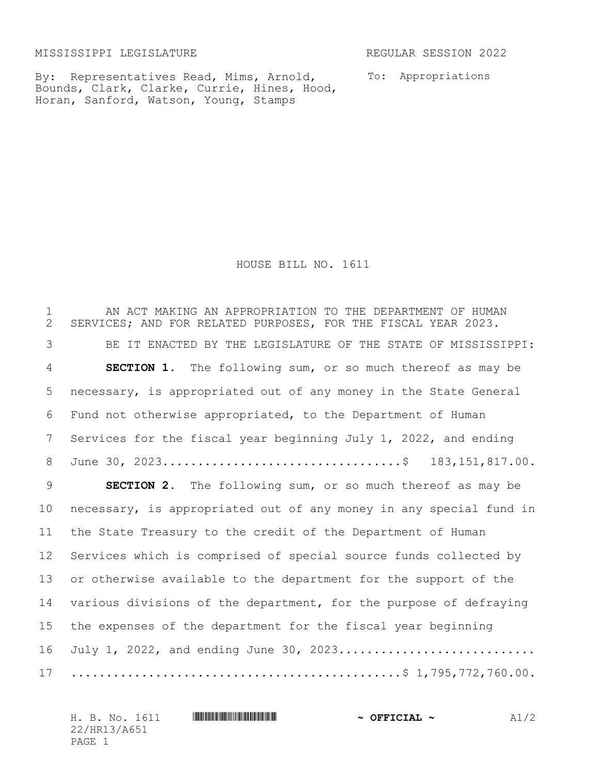MISSISSIPPI LEGISLATURE REGULAR SESSION 2022

By: Representatives Read, Mims, Arnold, Bounds, Clark, Clarke, Currie, Hines, Hood, Horan, Sanford, Watson, Young, Stamps

To: Appropriations

HOUSE BILL NO. 1611

 AN ACT MAKING AN APPROPRIATION TO THE DEPARTMENT OF HUMAN SERVICES; AND FOR RELATED PURPOSES, FOR THE FISCAL YEAR 2023. BE IT ENACTED BY THE LEGISLATURE OF THE STATE OF MISSISSIPPI: **SECTION 1.** The following sum, or so much thereof as may be necessary, is appropriated out of any money in the State General Fund not otherwise appropriated, to the Department of Human Services for the fiscal year beginning July 1, 2022, and ending June 30, 2023..................................\$ 183,151,817.00. **SECTION 2.** The following sum, or so much thereof as may be necessary, is appropriated out of any money in any special fund in the State Treasury to the credit of the Department of Human Services which is comprised of special source funds collected by or otherwise available to the department for the support of the various divisions of the department, for the purpose of defraying the expenses of the department for the fiscal year beginning 16 July 1, 2022, and ending June 30, 2023............................. ...............................................\$ 1,795,772,760.00.

| H. B. No. 1611 | $\sim$ OFFICIAL $\sim$ |  |
|----------------|------------------------|--|
| 22/HR13/A651   |                        |  |
| PAGE           |                        |  |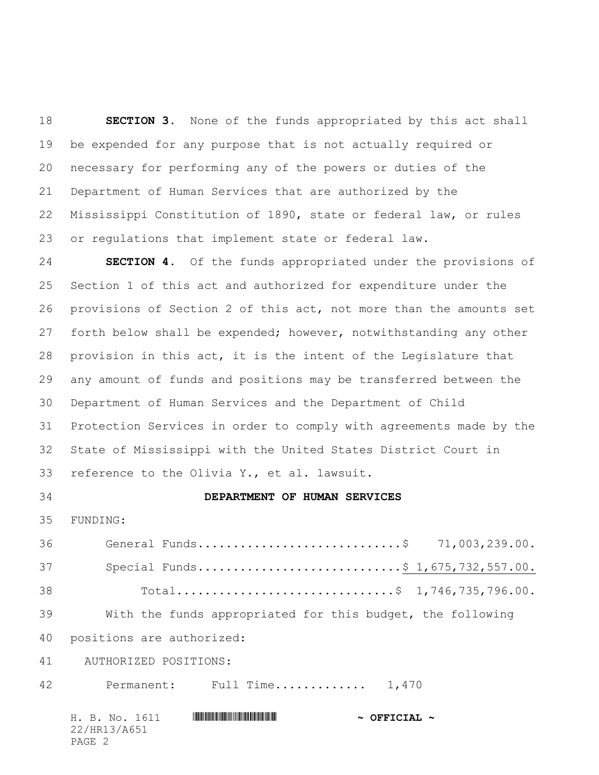**SECTION 3.** None of the funds appropriated by this act shall be expended for any purpose that is not actually required or necessary for performing any of the powers or duties of the Department of Human Services that are authorized by the Mississippi Constitution of 1890, state or federal law, or rules or regulations that implement state or federal law.

 **SECTION 4.** Of the funds appropriated under the provisions of Section 1 of this act and authorized for expenditure under the provisions of Section 2 of this act, not more than the amounts set forth below shall be expended; however, notwithstanding any other provision in this act, it is the intent of the Legislature that any amount of funds and positions may be transferred between the Department of Human Services and the Department of Child Protection Services in order to comply with agreements made by the State of Mississippi with the United States District Court in reference to the Olivia Y., et al. lawsuit.

## **DEPARTMENT OF HUMAN SERVICES**

FUNDING:

36 General Funds.................................\$ 71,003,239.00. 37 Special Funds..............................\$ 1,675,732,557.00. Total...............................\$ 1,746,735,796.00. With the funds appropriated for this budget, the following

positions are authorized:

41 AUTHORIZED POSITIONS:

42 Permanent: Full Time.............. 1,470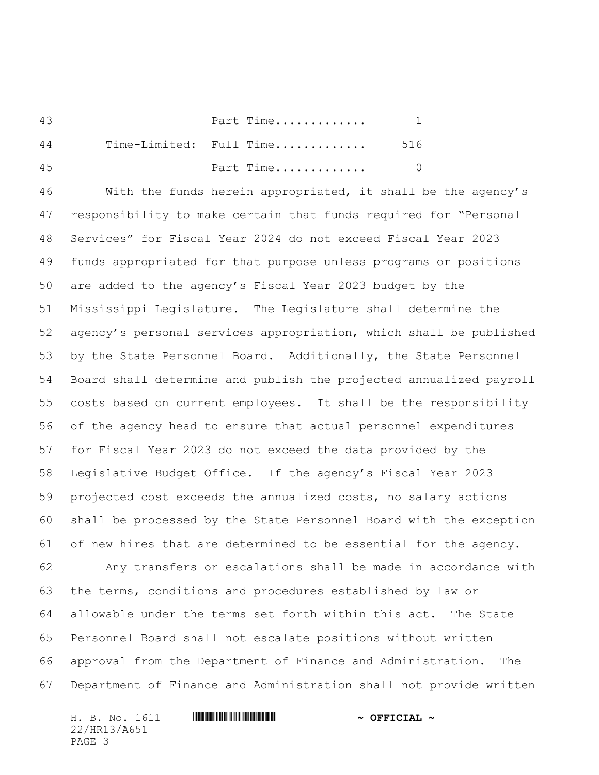Part Time............. 1 Time-Limited: Full Time............. 516 Part Time............. 0

 With the funds herein appropriated, it shall be the agency's responsibility to make certain that funds required for "Personal Services" for Fiscal Year 2024 do not exceed Fiscal Year 2023 funds appropriated for that purpose unless programs or positions are added to the agency's Fiscal Year 2023 budget by the Mississippi Legislature. The Legislature shall determine the agency's personal services appropriation, which shall be published by the State Personnel Board. Additionally, the State Personnel Board shall determine and publish the projected annualized payroll costs based on current employees. It shall be the responsibility of the agency head to ensure that actual personnel expenditures for Fiscal Year 2023 do not exceed the data provided by the Legislative Budget Office. If the agency's Fiscal Year 2023 projected cost exceeds the annualized costs, no salary actions shall be processed by the State Personnel Board with the exception of new hires that are determined to be essential for the agency. Any transfers or escalations shall be made in accordance with the terms, conditions and procedures established by law or allowable under the terms set forth within this act. The State Personnel Board shall not escalate positions without written approval from the Department of Finance and Administration. The

Department of Finance and Administration shall not provide written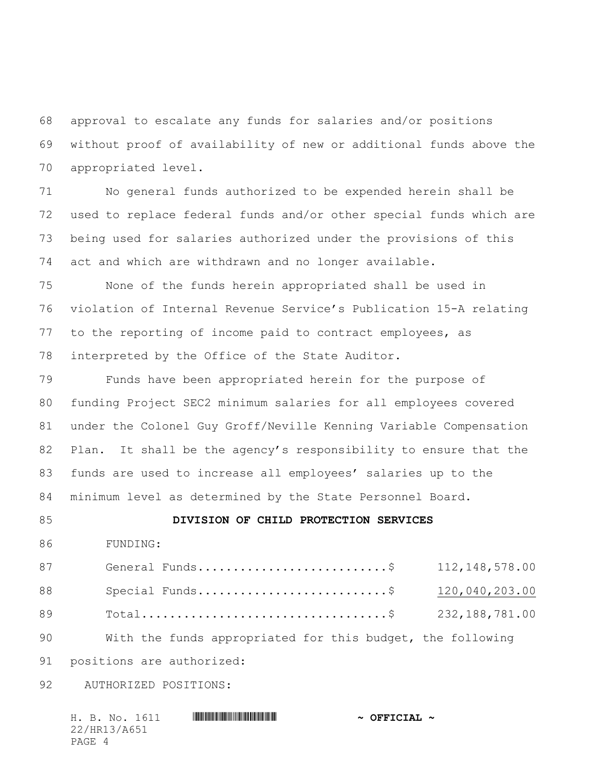approval to escalate any funds for salaries and/or positions without proof of availability of new or additional funds above the appropriated level.

 No general funds authorized to be expended herein shall be used to replace federal funds and/or other special funds which are being used for salaries authorized under the provisions of this act and which are withdrawn and no longer available.

 None of the funds herein appropriated shall be used in violation of Internal Revenue Service's Publication 15-A relating to the reporting of income paid to contract employees, as interpreted by the Office of the State Auditor.

 Funds have been appropriated herein for the purpose of funding Project SEC2 minimum salaries for all employees covered under the Colonel Guy Groff/Neville Kenning Variable Compensation 82 Plan. It shall be the agency's responsibility to ensure that the funds are used to increase all employees' salaries up to the minimum level as determined by the State Personnel Board.

## **DIVISION OF CHILD PROTECTION SERVICES**

FUNDING:

| 87 | General Funds\$                                            | 112, 148, 578.00 |
|----|------------------------------------------------------------|------------------|
| 88 | Special Funds\$                                            | 120,040,203.00   |
| 89 |                                                            |                  |
| 90 | With the funds appropriated for this budget, the following |                  |

positions are authorized:

92 AUTHORIZED POSITIONS:

|        |              | H. B. No. 1611 | $\sim$ OFFICIAL $\sim$ |
|--------|--------------|----------------|------------------------|
|        | 22/HR13/A651 |                |                        |
| PAGE 4 |              |                |                        |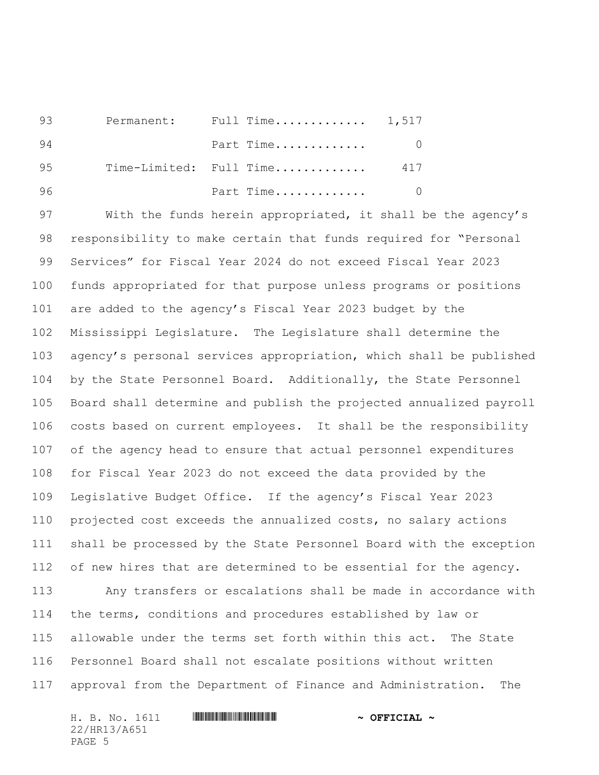| 93  |  | Permanent: Full Time 1,517 |     |
|-----|--|----------------------------|-----|
| -94 |  | Part Time                  |     |
| 95  |  | Time-Limited: Full Time    | 417 |
| 96  |  | Part Time                  |     |

 With the funds herein appropriated, it shall be the agency's responsibility to make certain that funds required for "Personal Services" for Fiscal Year 2024 do not exceed Fiscal Year 2023 funds appropriated for that purpose unless programs or positions are added to the agency's Fiscal Year 2023 budget by the Mississippi Legislature. The Legislature shall determine the agency's personal services appropriation, which shall be published by the State Personnel Board. Additionally, the State Personnel Board shall determine and publish the projected annualized payroll costs based on current employees. It shall be the responsibility of the agency head to ensure that actual personnel expenditures for Fiscal Year 2023 do not exceed the data provided by the Legislative Budget Office. If the agency's Fiscal Year 2023 projected cost exceeds the annualized costs, no salary actions shall be processed by the State Personnel Board with the exception 112 of new hires that are determined to be essential for the agency. Any transfers or escalations shall be made in accordance with

 the terms, conditions and procedures established by law or allowable under the terms set forth within this act. The State Personnel Board shall not escalate positions without written approval from the Department of Finance and Administration. The

|              |  | H. B. No. 1611 |  | $\sim$ OFFICIAL $\sim$ |  |
|--------------|--|----------------|--|------------------------|--|
| 22/HR13/A651 |  |                |  |                        |  |
| PAGE 5       |  |                |  |                        |  |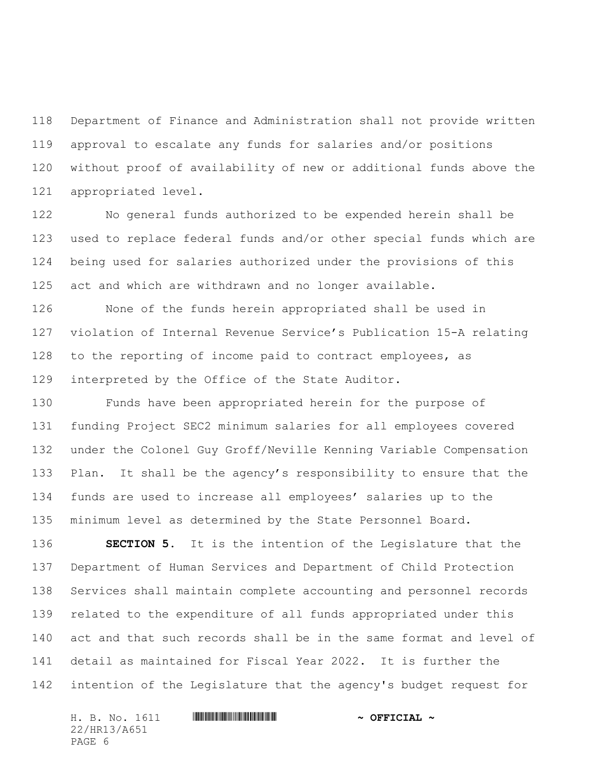Department of Finance and Administration shall not provide written approval to escalate any funds for salaries and/or positions without proof of availability of new or additional funds above the appropriated level.

 No general funds authorized to be expended herein shall be used to replace federal funds and/or other special funds which are being used for salaries authorized under the provisions of this act and which are withdrawn and no longer available.

 None of the funds herein appropriated shall be used in violation of Internal Revenue Service's Publication 15-A relating 128 to the reporting of income paid to contract employees, as interpreted by the Office of the State Auditor.

 Funds have been appropriated herein for the purpose of funding Project SEC2 minimum salaries for all employees covered under the Colonel Guy Groff/Neville Kenning Variable Compensation 133 Plan. It shall be the agency's responsibility to ensure that the funds are used to increase all employees' salaries up to the minimum level as determined by the State Personnel Board.

 **SECTION 5.** It is the intention of the Legislature that the Department of Human Services and Department of Child Protection Services shall maintain complete accounting and personnel records related to the expenditure of all funds appropriated under this act and that such records shall be in the same format and level of detail as maintained for Fiscal Year 2022. It is further the intention of the Legislature that the agency's budget request for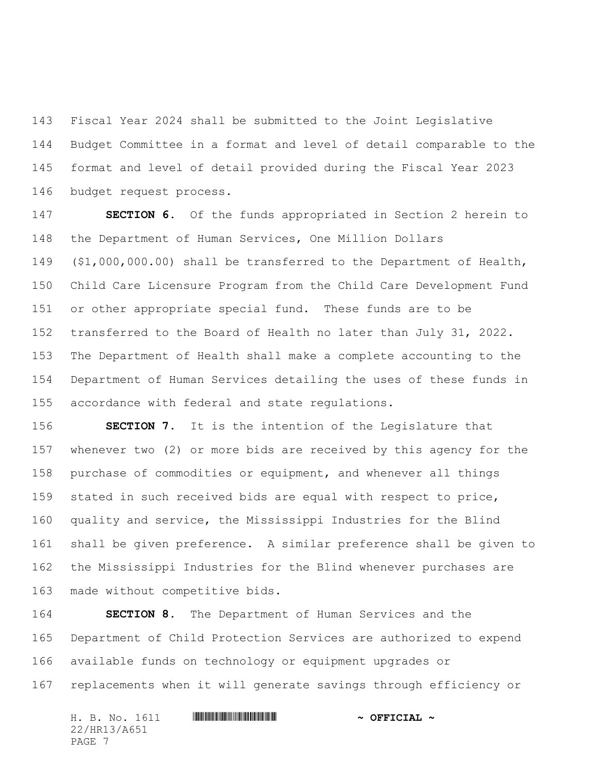Fiscal Year 2024 shall be submitted to the Joint Legislative Budget Committee in a format and level of detail comparable to the format and level of detail provided during the Fiscal Year 2023 budget request process.

 **SECTION 6.** Of the funds appropriated in Section 2 herein to the Department of Human Services, One Million Dollars (\$1,000,000.00) shall be transferred to the Department of Health, Child Care Licensure Program from the Child Care Development Fund or other appropriate special fund. These funds are to be transferred to the Board of Health no later than July 31, 2022. The Department of Health shall make a complete accounting to the Department of Human Services detailing the uses of these funds in accordance with federal and state regulations.

 **SECTION 7.** It is the intention of the Legislature that whenever two (2) or more bids are received by this agency for the purchase of commodities or equipment, and whenever all things stated in such received bids are equal with respect to price, quality and service, the Mississippi Industries for the Blind shall be given preference. A similar preference shall be given to the Mississippi Industries for the Blind whenever purchases are made without competitive bids.

 **SECTION 8.** The Department of Human Services and the Department of Child Protection Services are authorized to expend available funds on technology or equipment upgrades or replacements when it will generate savings through efficiency or

| H. B. No. 1611 | $\sim$ OFFICIAL $\sim$ |
|----------------|------------------------|
| 22/HR13/A651   |                        |
| PAGE 7         |                        |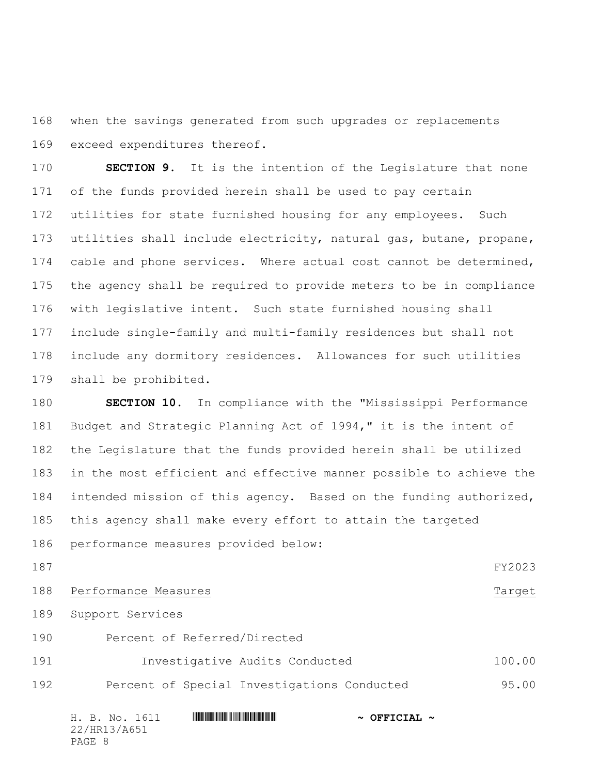when the savings generated from such upgrades or replacements exceed expenditures thereof.

 **SECTION 9.** It is the intention of the Legislature that none of the funds provided herein shall be used to pay certain utilities for state furnished housing for any employees. Such utilities shall include electricity, natural gas, butane, propane, 174 cable and phone services. Where actual cost cannot be determined, the agency shall be required to provide meters to be in compliance with legislative intent. Such state furnished housing shall include single-family and multi-family residences but shall not include any dormitory residences. Allowances for such utilities shall be prohibited.

 **SECTION 10.** In compliance with the "Mississippi Performance Budget and Strategic Planning Act of 1994," it is the intent of the Legislature that the funds provided herein shall be utilized in the most efficient and effective manner possible to achieve the 184 intended mission of this agency. Based on the funding authorized, this agency shall make every effort to attain the targeted performance measures provided below:

FY2023

188 Performance Measures Target

Support Services

- Percent of Referred/Directed
- Investigative Audits Conducted 100.00 192 Percent of Special Investigations Conducted 95.00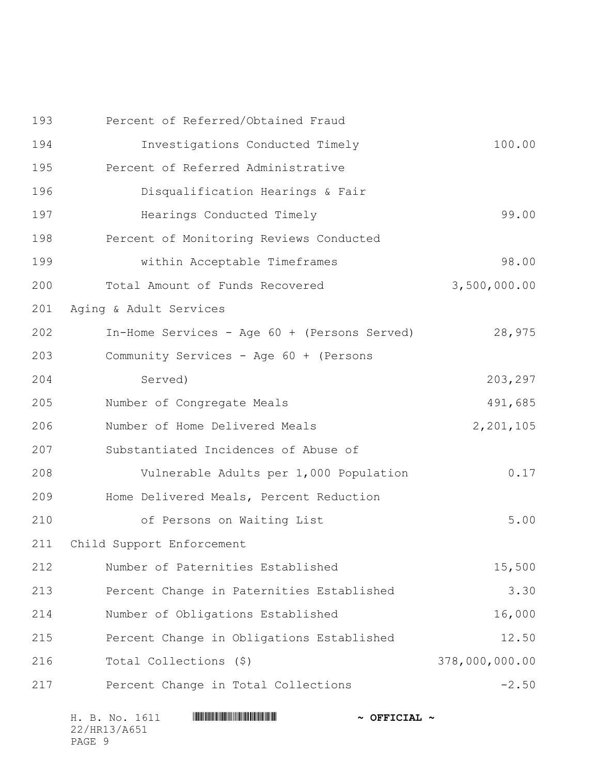|     | H. B. No. 1611<br>$\sim$ OFFICIAL $\sim$     |                |
|-----|----------------------------------------------|----------------|
| 217 | Percent Change in Total Collections          | $-2.50$        |
| 216 | Total Collections (\$)                       | 378,000,000.00 |
| 215 | Percent Change in Obligations Established    | 12.50          |
| 214 | Number of Obligations Established            | 16,000         |
| 213 | Percent Change in Paternities Established    | 3.30           |
| 212 | Number of Paternities Established            | 15,500         |
| 211 | Child Support Enforcement                    |                |
| 210 | of Persons on Waiting List                   | 5.00           |
| 209 | Home Delivered Meals, Percent Reduction      |                |
| 208 | Vulnerable Adults per 1,000 Population       | 0.17           |
| 207 | Substantiated Incidences of Abuse of         |                |
| 206 | Number of Home Delivered Meals               | 2,201,105      |
| 205 | Number of Congregate Meals                   | 491,685        |
| 204 | Served)                                      | 203,297        |
| 203 | Community Services - Age 60 + (Persons       |                |
| 202 | In-Home Services - Age 60 + (Persons Served) | 28,975         |
| 201 | Aging & Adult Services                       |                |
| 200 | Total Amount of Funds Recovered              | 3,500,000.00   |
| 199 | within Acceptable Timeframes                 | 98.00          |
| 198 | Percent of Monitoring Reviews Conducted      |                |
| 197 | Hearings Conducted Timely                    | 99.00          |
| 196 | Disqualification Hearings & Fair             |                |
| 195 | Percent of Referred Administrative           |                |
| 194 | Investigations Conducted Timely              | 100.00         |
| 193 | Percent of Referred/Obtained Fraud           |                |

22/HR13/A651 PAGE 9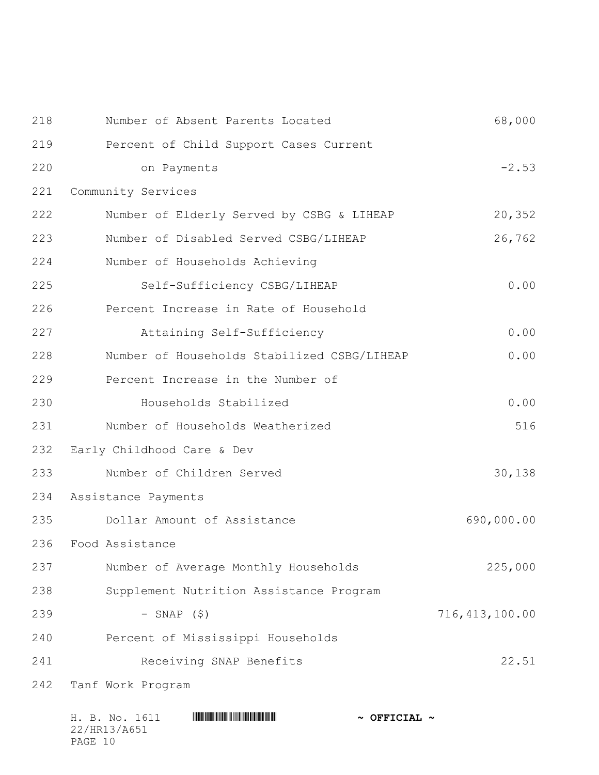| 218 | Number of Absent Parents Located            | 68,000           |
|-----|---------------------------------------------|------------------|
| 219 | Percent of Child Support Cases Current      |                  |
| 220 | on Payments                                 | $-2.53$          |
| 221 | Community Services                          |                  |
| 222 | Number of Elderly Served by CSBG & LIHEAP   | 20,352           |
| 223 | Number of Disabled Served CSBG/LIHEAP       | 26,762           |
| 224 | Number of Households Achieving              |                  |
| 225 | Self-Sufficiency CSBG/LIHEAP                | 0.00             |
| 226 | Percent Increase in Rate of Household       |                  |
| 227 | Attaining Self-Sufficiency                  | 0.00             |
| 228 | Number of Households Stabilized CSBG/LIHEAP | 0.00             |
| 229 | Percent Increase in the Number of           |                  |
| 230 | Households Stabilized                       | 0.00             |
| 231 | Number of Households Weatherized            | 516              |
| 232 | Early Childhood Care & Dev                  |                  |
| 233 | Number of Children Served                   | 30,138           |
| 234 | Assistance Payments                         |                  |
| 235 | Dollar Amount of Assistance                 | 690,000.00       |
| 236 | Food Assistance                             |                  |
| 237 | Number of Average Monthly Households        | 225,000          |
| 238 | Supplement Nutrition Assistance Program     |                  |
| 239 | $-$ SNAP $(5)$                              | 716, 413, 100.00 |
| 240 | Percent of Mississippi Households           |                  |
| 241 | Receiving SNAP Benefits                     | 22.51            |
| 242 | Tanf Work Program                           |                  |
|     |                                             |                  |

| H. B. No. 1611 | $\sim$ OFFICIAL $\sim$ |
|----------------|------------------------|
| 22/HR13/A651   |                        |
| PAGE 10        |                        |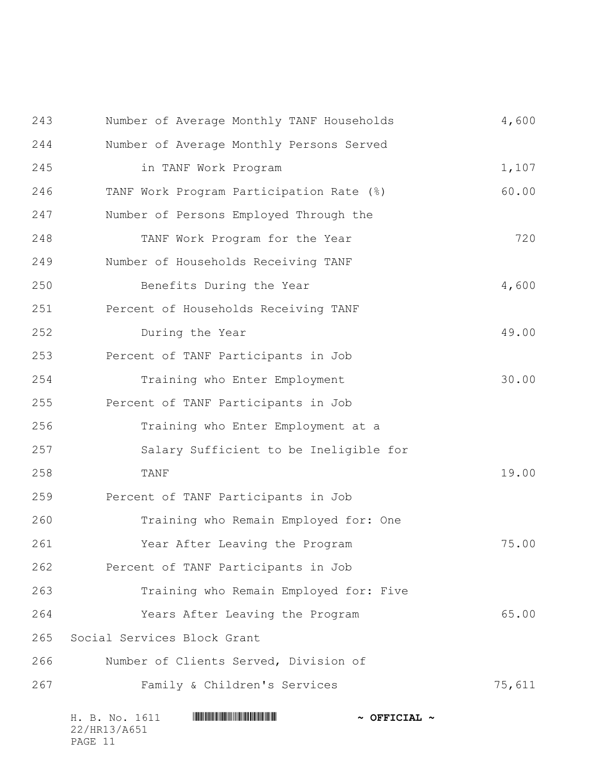|     | H. B. No. 1611<br>$\sim$ OFFICIAL $\sim$  |        |
|-----|-------------------------------------------|--------|
| 267 | Family & Children's Services              | 75,611 |
| 266 | Number of Clients Served, Division of     |        |
| 265 | Social Services Block Grant               |        |
| 264 | Years After Leaving the Program           | 65.00  |
| 263 | Training who Remain Employed for: Five    |        |
| 262 | Percent of TANF Participants in Job       |        |
| 261 | Year After Leaving the Program            | 75.00  |
| 260 | Training who Remain Employed for: One     |        |
| 259 | Percent of TANF Participants in Job       |        |
| 258 | TANF                                      | 19.00  |
| 257 | Salary Sufficient to be Ineligible for    |        |
| 256 | Training who Enter Employment at a        |        |
| 255 | Percent of TANF Participants in Job       |        |
| 254 | Training who Enter Employment             | 30.00  |
| 253 | Percent of TANF Participants in Job       |        |
| 252 | During the Year                           | 49.00  |
| 251 | Percent of Households Receiving TANF      |        |
| 250 | Benefits During the Year                  | 4,600  |
| 249 | Number of Households Receiving TANF       |        |
| 248 | TANF Work Program for the Year            | 720    |
| 247 | Number of Persons Employed Through the    |        |
| 246 | TANF Work Program Participation Rate (%)  | 60.00  |
| 245 | in TANF Work Program                      | 1,107  |
| 244 | Number of Average Monthly Persons Served  |        |
| 243 | Number of Average Monthly TANF Households | 4,600  |

22/HR13/A651 PAGE 11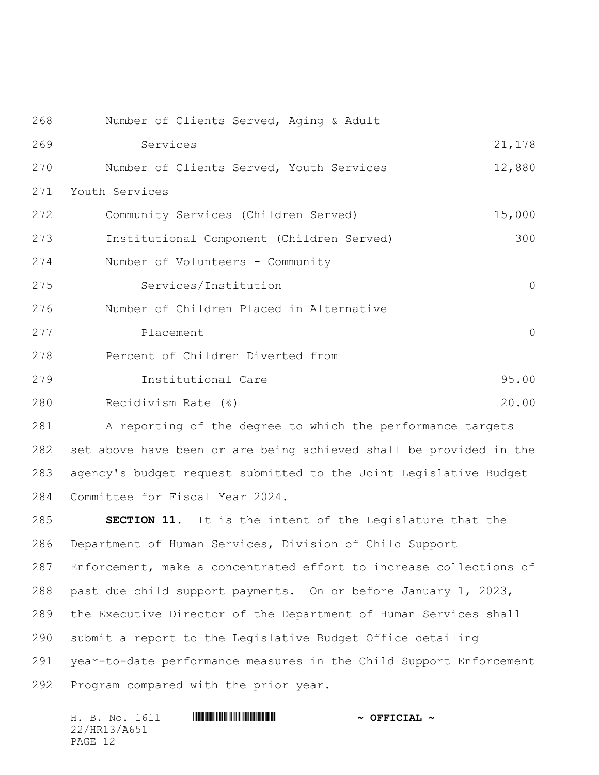| 268 | Number of Clients Served, Aging & Adult   |                     |
|-----|-------------------------------------------|---------------------|
| 269 | Services                                  | 21,178              |
| 270 | Number of Clients Served, Youth Services  | 12,880              |
| 271 | Youth Services                            |                     |
| 272 | Community Services (Children Served)      | 15,000              |
| 273 | Institutional Component (Children Served) | 300                 |
| 274 | Number of Volunteers - Community          |                     |
| 275 | Services/Institution                      | $\mathsf{O}\xspace$ |
| 276 | Number of Children Placed in Alternative  |                     |
| 277 | Placement                                 | $\circ$             |
| 278 | Percent of Children Diverted from         |                     |
| 279 | Institutional Care                        | 95.00               |
| 280 | Recidivism Rate (%)                       | 20.00               |

 A reporting of the degree to which the performance targets set above have been or are being achieved shall be provided in the agency's budget request submitted to the Joint Legislative Budget Committee for Fiscal Year 2024.

 **SECTION 11.** It is the intent of the Legislature that the Department of Human Services, Division of Child Support Enforcement, make a concentrated effort to increase collections of past due child support payments. On or before January 1, 2023, the Executive Director of the Department of Human Services shall submit a report to the Legislative Budget Office detailing year-to-date performance measures in the Child Support Enforcement Program compared with the prior year.

| H. B. No. 1611 | $\sim$ OFFICIAL $\sim$ |
|----------------|------------------------|
| 22/HR13/A651   |                        |
| PAGE 12        |                        |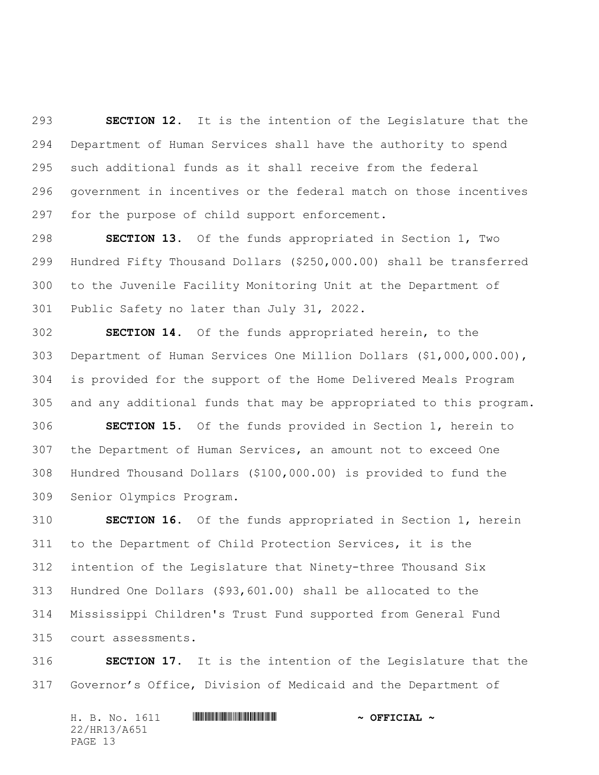**SECTION 12.** It is the intention of the Legislature that the Department of Human Services shall have the authority to spend such additional funds as it shall receive from the federal government in incentives or the federal match on those incentives for the purpose of child support enforcement.

 **SECTION 13.** Of the funds appropriated in Section 1, Two Hundred Fifty Thousand Dollars (\$250,000.00) shall be transferred to the Juvenile Facility Monitoring Unit at the Department of Public Safety no later than July 31, 2022.

 **SECTION 14.** Of the funds appropriated herein, to the Department of Human Services One Million Dollars (\$1,000,000.00), is provided for the support of the Home Delivered Meals Program and any additional funds that may be appropriated to this program. **SECTION 15.** Of the funds provided in Section 1, herein to the Department of Human Services, an amount not to exceed One

 Hundred Thousand Dollars (\$100,000.00) is provided to fund the Senior Olympics Program.

 **SECTION 16.** Of the funds appropriated in Section 1, herein to the Department of Child Protection Services, it is the intention of the Legislature that Ninety-three Thousand Six Hundred One Dollars (\$93,601.00) shall be allocated to the Mississippi Children's Trust Fund supported from General Fund court assessments.

 **SECTION 17.** It is the intention of the Legislature that the Governor's Office, Division of Medicaid and the Department of

| H. B. No. 1611 |  |  | $\sim$ OFFICIAL $\sim$ |
|----------------|--|--|------------------------|
| 22/HR13/A651   |  |  |                        |
| PAGE 13        |  |  |                        |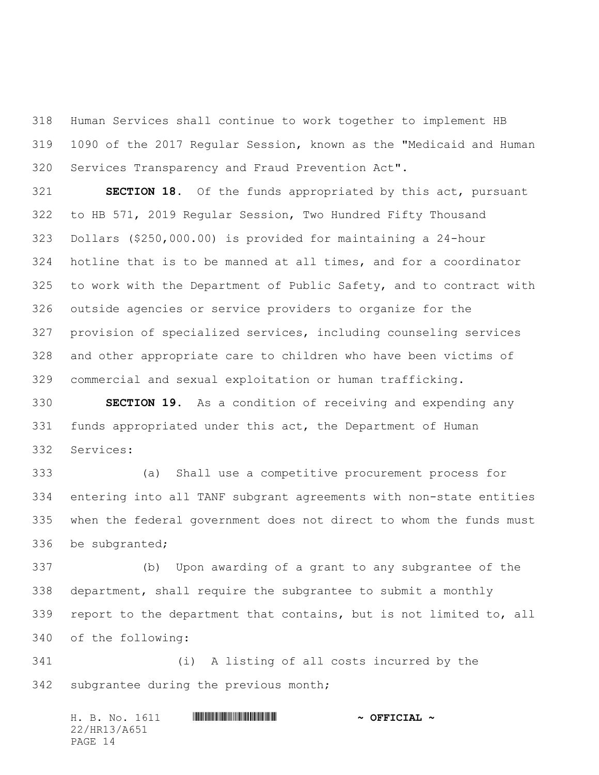Human Services shall continue to work together to implement HB 1090 of the 2017 Regular Session, known as the "Medicaid and Human Services Transparency and Fraud Prevention Act".

 **SECTION 18.** Of the funds appropriated by this act, pursuant to HB 571, 2019 Regular Session, Two Hundred Fifty Thousand Dollars (\$250,000.00) is provided for maintaining a 24-hour hotline that is to be manned at all times, and for a coordinator to work with the Department of Public Safety, and to contract with outside agencies or service providers to organize for the provision of specialized services, including counseling services and other appropriate care to children who have been victims of commercial and sexual exploitation or human trafficking.

 **SECTION 19.** As a condition of receiving and expending any funds appropriated under this act, the Department of Human Services:

 (a) Shall use a competitive procurement process for entering into all TANF subgrant agreements with non-state entities when the federal government does not direct to whom the funds must be subgranted;

 (b) Upon awarding of a grant to any subgrantee of the department, shall require the subgrantee to submit a monthly report to the department that contains, but is not limited to, all of the following:

 (i) A listing of all costs incurred by the subgrantee during the previous month;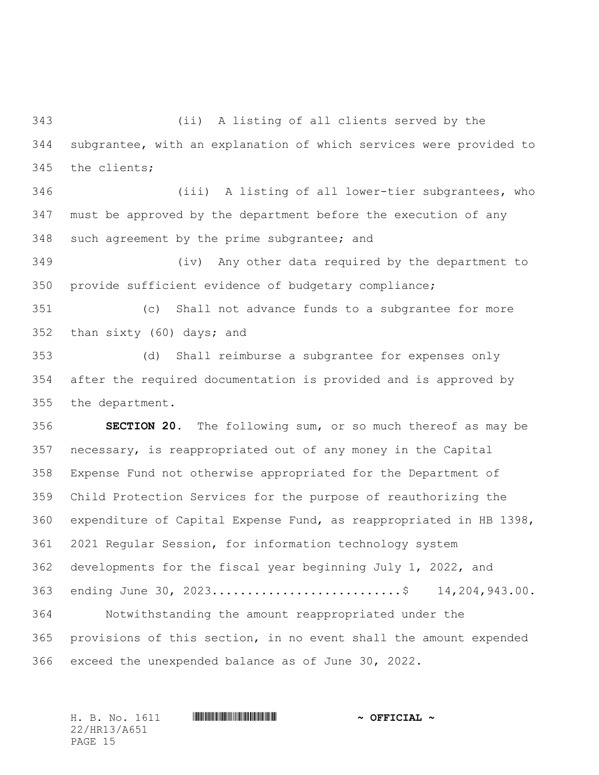(ii) A listing of all clients served by the subgrantee, with an explanation of which services were provided to the clients;

 (iii) A listing of all lower-tier subgrantees, who must be approved by the department before the execution of any such agreement by the prime subgrantee; and

 (iv) Any other data required by the department to provide sufficient evidence of budgetary compliance;

 (c) Shall not advance funds to a subgrantee for more than sixty (60) days; and

 (d) Shall reimburse a subgrantee for expenses only after the required documentation is provided and is approved by the department.

 **SECTION 20.** The following sum, or so much thereof as may be necessary, is reappropriated out of any money in the Capital Expense Fund not otherwise appropriated for the Department of Child Protection Services for the purpose of reauthorizing the expenditure of Capital Expense Fund, as reappropriated in HB 1398, 2021 Regular Session, for information technology system developments for the fiscal year beginning July 1, 2022, and ending June 30, 2023...........................\$ 14,204,943.00. Notwithstanding the amount reappropriated under the provisions of this section, in no event shall the amount expended exceed the unexpended balance as of June 30, 2022.